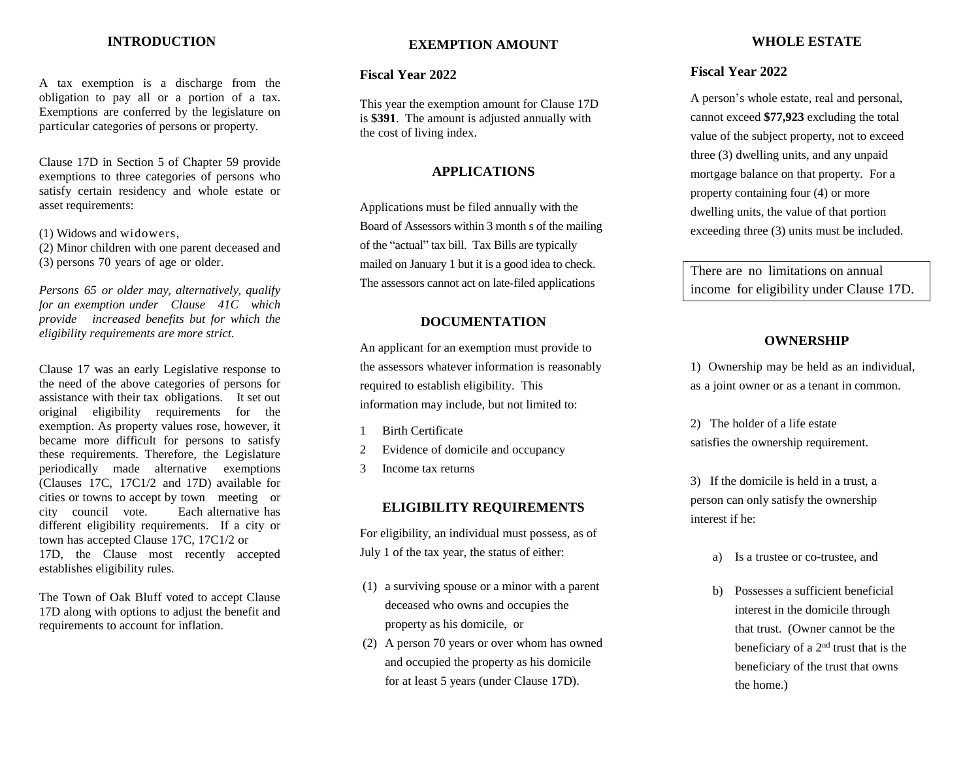#### **INTRODUCTION**

A tax exemption is a discharge from the obligation to pay all or a portion of a tax. Exemptions are conferred by the legislature on particular categories of persons or property.

Clause 17D in Section 5 of Chapter 59 provide exemptions to three categories of persons who satisfy certain residency and whole estate or asset requirements:

(1) Widows and widowers,

(2) Minor children with one parent deceased and (3) persons 70 years of age or older.

*Persons 65 or older may, alternatively, qualify for an exemption under Clause 41C which provide increased benefits but for which the eligibility requirements are more strict.*

Clause 17 was an early Legislative response to the need of the above categories of persons for assistance with their tax obligations. It set out original eligibility requirements for the exemption. As property values rose, however, it became more difficult for persons to satisfy these requirements. Therefore, the Legislature periodically made alternative exemptions (Clauses 17C, 17C1/2 and 17D) available for cities or towns to accept by town meeting or city council vote. Each alternative has different eligibility requirements. If a city or town has accepted Clause 17C, 17C1/2 or 17D, the Clause most recently accepted establishes eligibility rules.

The Town of Oak Bluff voted to accept Clause 17D along with options to adjust the benefit and requirements to account for inflation.

#### **EXEMPTION AMOUNT**

#### **Fiscal Year 2022**

This year the exemption amount for Clause 17D is **\$391**. The amount is adjusted annually with the cost of living index.

#### **APPLICATIONS**

Applications must be filed annually with the Board of Assessors within 3 month s of the mailing of the "actual" tax bill. Tax Bills are typically mailed on January 1 but it is a good idea to check. The assessors cannot act on late-filed applications

#### **DOCUMENTATION**

An applicant for an exemption must provide to the assessors whatever information is reasonably required to establish eligibility. This information may include, but not limited to:

- 1 Birth Certificate
- 2 Evidence of domicile and occupancy
- 3 Income tax returns

#### **ELIGIBILITY REQUIREMENTS**

For eligibility, an individual must possess, as of July 1 of the tax year, the status of either:

- (1) a surviving spouse or a minor with a parent deceased who owns and occupies the property as his domicile, or
- (2) A person 70 years or over whom has owned and occupied the property as his domicile for at least 5 years (under Clause 17D).

#### **WHOLE ESTATE**

#### **Fiscal Year 2022**

A person's whole estate, real and personal, cannot exceed **\$77,923** excluding the total value of the subject property, not to exceed three (3) dwelling units, and any unpaid mortgage balance on that property. For a property containing four (4) or more dwelling units, the value of that portion exceeding three (3) units must be included.

There are no limitations on annual income for eligibility under Clause 17D.

#### **OWNERSHIP**

1) Ownership may be held as an individual, as a joint owner or as a tenant in common.

2) The holder of a life estate satisfies the ownership requirement.

3) If the domicile is held in a trust, a person can only satisfy the ownership interest if he:

- a) Is a trustee or co-trustee, and
- b) Possesses a sufficient beneficial interest in the domicile through that trust. (Owner cannot be the beneficiary of a 2nd trust that is the beneficiary of the trust that owns the home.)